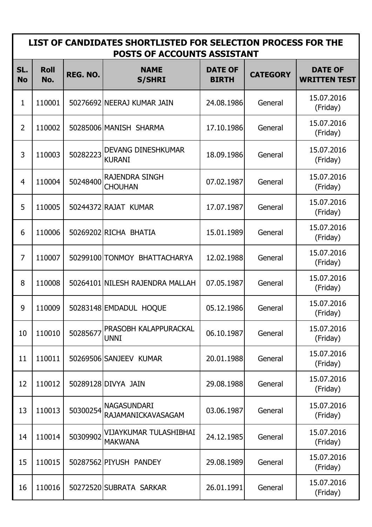| LIST OF CANDIDATES SHORTLISTED FOR SELECTION PROCESS FOR THE<br>POSTS OF ACCOUNTS ASSISTANT |                    |          |                                            |                                |                 |                                       |
|---------------------------------------------------------------------------------------------|--------------------|----------|--------------------------------------------|--------------------------------|-----------------|---------------------------------------|
| SL.<br><b>No</b>                                                                            | <b>Roll</b><br>No. | REG. NO. | <b>NAME</b><br><b>S/SHRI</b>               | <b>DATE OF</b><br><b>BIRTH</b> | <b>CATEGORY</b> | <b>DATE OF</b><br><b>WRITTEN TEST</b> |
| $\mathbf{1}$                                                                                | 110001             |          | 50276692 NEERAJ KUMAR JAIN                 | 24.08.1986                     | General         | 15.07.2016<br>(Friday)                |
| $\overline{2}$                                                                              | 110002             |          | 50285006 MANISH SHARMA                     | 17.10.1986                     | General         | 15.07.2016<br>(Friday)                |
| 3                                                                                           | 110003             | 50282223 | <b>DEVANG DINESHKUMAR</b><br><b>KURANI</b> | 18.09.1986                     | General         | 15.07.2016<br>(Friday)                |
| $\overline{4}$                                                                              | 110004             | 50248400 | <b>RAJENDRA SINGH</b><br><b>CHOUHAN</b>    | 07.02.1987                     | General         | 15.07.2016<br>(Friday)                |
| 5                                                                                           | 110005             |          | 50244372 RAJAT KUMAR                       | 17.07.1987                     | General         | 15.07.2016<br>(Friday)                |
| 6                                                                                           | 110006             |          | 50269202 RICHA BHATIA                      | 15.01.1989                     | General         | 15.07.2016<br>(Friday)                |
| $\overline{7}$                                                                              | 110007             |          | 50299100 TONMOY BHATTACHARYA               | 12.02.1988                     | General         | 15.07.2016<br>(Friday)                |
| 8                                                                                           | 110008             |          | 50264101 NILESH RAJENDRA MALLAH            | 07.05.1987                     | General         | 15.07.2016<br>(Friday)                |
| 9                                                                                           | 110009             |          | 50283148 EMDADUL HOQUE                     | 05.12.1986                     | General         | 15.07.2016<br>(Friday)                |
| 10                                                                                          | 110010             | 50285677 | PRASOBH KALAPPURACKAL<br><b>UNNI</b>       | 06.10.1987                     | General         | 15.07.2016<br>(Friday)                |
| 11                                                                                          | 110011             |          | 50269506 SANJEEV KUMAR                     | 20.01.1988                     | General         | 15.07.2016<br>(Friday)                |
| 12                                                                                          | 110012             |          | 50289128 DIVYA JAIN                        | 29.08.1988                     | General         | 15.07.2016<br>(Friday)                |
| 13                                                                                          | 110013             | 50300254 | <b>NAGASUNDARI</b><br>RAJAMANICKAVASAGAM   | 03.06.1987                     | General         | 15.07.2016<br>(Friday)                |
| 14                                                                                          | 110014             | 50309902 | VIJAYKUMAR TULASHIBHAI<br><b>MAKWANA</b>   | 24.12.1985                     | General         | 15.07.2016<br>(Friday)                |
| 15                                                                                          | 110015             |          | 50287562 PIYUSH PANDEY                     | 29.08.1989                     | General         | 15.07.2016<br>(Friday)                |
| 16                                                                                          | 110016             |          | 50272520 SUBRATA SARKAR                    | 26.01.1991                     | General         | 15.07.2016<br>(Friday)                |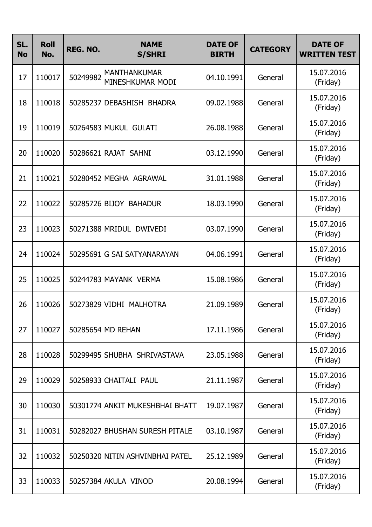| SL.<br><b>No</b> | <b>Roll</b><br>No. | REG. NO. | <b>NAME</b><br><b>S/SHRI</b>            | <b>DATE OF</b><br><b>BIRTH</b> | <b>CATEGORY</b> | <b>DATE OF</b><br><b>WRITTEN TEST</b> |
|------------------|--------------------|----------|-----------------------------------------|--------------------------------|-----------------|---------------------------------------|
| 17               | 110017             | 50249982 | <b>MANTHANKUMAR</b><br>MINESHKUMAR MODI | 04.10.1991                     | General         | 15.07.2016<br>(Friday)                |
| 18               | 110018             |          | 50285237 DEBASHISH<br><b>BHADRA</b>     | 09.02.1988                     | General         | 15.07.2016<br>(Friday)                |
| 19               | 110019             |          | 50264583 MUKUL GULATI                   | 26.08.1988                     | General         | 15.07.2016<br>(Friday)                |
| 20               | 110020             |          | 50286621 RAJAT SAHNI                    | 03.12.1990                     | General         | 15.07.2016<br>(Friday)                |
| 21               | 110021             |          | 50280452 MEGHA AGRAWAL                  | 31.01.1988                     | General         | 15.07.2016<br>(Friday)                |
| 22               | 110022             |          | 50285726 BIJOY BAHADUR                  | 18.03.1990                     | General         | 15.07.2016<br>(Friday)                |
| 23               | 110023             |          | 50271388 MRIDUL DWIVEDI                 | 03.07.1990                     | General         | 15.07.2016<br>(Friday)                |
| 24               | 110024             |          | 50295691 G SAI SATYANARAYAN             | 04.06.1991                     | General         | 15.07.2016<br>(Friday)                |
| 25               | 110025             |          | 50244783 MAYANK VERMA                   | 15.08.1986                     | General         | 15.07.2016<br>(Friday)                |
| 26               | 110026             |          | 50273829 VIDHI MALHOTRA                 | 21.09.1989                     | General         | 15.07.2016<br>(Friday)                |
| 27               | 110027             |          | 50285654 MD REHAN                       | 17.11.1986                     | General         | 15.07.2016<br>(Friday)                |
| 28               | 110028             |          | 50299495 SHUBHA SHRIVASTAVA             | 23.05.1988                     | General         | 15.07.2016<br>(Friday)                |
| 29               | 110029             |          | 50258933 CHAITALI PAUL                  | 21.11.1987                     | General         | 15.07.2016<br>(Friday)                |
| 30               | 110030             |          | 50301774 ANKIT MUKESHBHAI BHATT         | 19.07.1987                     | General         | 15.07.2016<br>(Friday)                |
| 31               | 110031             |          | 50282027 BHUSHAN SURESH PITALE          | 03.10.1987                     | General         | 15.07.2016<br>(Friday)                |
| 32               | 110032             |          | 50250320 NITIN ASHVINBHAI PATEL         | 25.12.1989                     | General         | 15.07.2016<br>(Friday)                |
| 33               | 110033             |          | 50257384 AKULA VINOD                    | 20.08.1994                     | General         | 15.07.2016<br>(Friday)                |